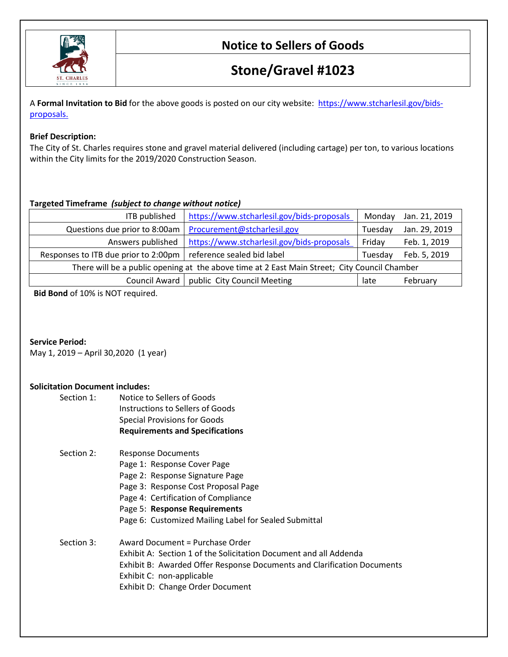

# **Stone/Gravel #1023**

A **Formal Invitation to Bid** for the above goods is posted on our city website: [https://www.stcharlesil.gov/bids](https://www.stcharlesil.gov/bids-proposals)[proposals.](https://www.stcharlesil.gov/bids-proposals)

### **Brief Description:**

The City of St. Charles requires stone and gravel material delivered (including cartage) per ton, to various locations within the City limits for the 2019/2020 Construction Season.

### **Targeted Timeframe** *(subject to change without notice)*

| ITB published                                                                                | https://www.stcharlesil.gov/bids-proposals | Monday  | Jan. 21, 2019 |  |
|----------------------------------------------------------------------------------------------|--------------------------------------------|---------|---------------|--|
| Questions due prior to 8:00am                                                                | Procurement@stcharlesil.gov                | Tuesdav | Jan. 29, 2019 |  |
| Answers published                                                                            | https://www.stcharlesil.gov/bids-proposals | Friday  | Feb. 1, 2019  |  |
| Responses to ITB due prior to 2:00pm                                                         | reference sealed bid label                 | Tuesdav | Feb. 5, 2019  |  |
| There will be a public opening at the above time at 2 East Main Street; City Council Chamber |                                            |         |               |  |
| public City Council Meeting<br>Council Award                                                 |                                            |         | February      |  |

**Bid Bond** of 10% is NOT required.

**Service Period:**

May 1, 2019 – April 30,2020 (1 year)

### **Solicitation Document includes:**

| Section 1: | Notice to Sellers of Goods<br>Instructions to Sellers of Goods<br><b>Special Provisions for Goods</b><br><b>Requirements and Specifications</b> |
|------------|-------------------------------------------------------------------------------------------------------------------------------------------------|
| Section 2: | Response Documents                                                                                                                              |
|            | Page 1: Response Cover Page                                                                                                                     |
|            | Page 2: Response Signature Page                                                                                                                 |
|            | Page 3: Response Cost Proposal Page                                                                                                             |
|            | Page 4: Certification of Compliance                                                                                                             |
|            | Page 5: Response Requirements                                                                                                                   |
|            | Page 6: Customized Mailing Label for Sealed Submittal                                                                                           |
| Section 3: | Award Document = Purchase Order                                                                                                                 |
|            | Exhibit A: Section 1 of the Solicitation Document and all Addenda                                                                               |
|            | Exhibit B: Awarded Offer Response Documents and Clarification Documents                                                                         |
|            | Exhibit C: non-applicable                                                                                                                       |
|            | Exhibit D: Change Order Document                                                                                                                |
|            |                                                                                                                                                 |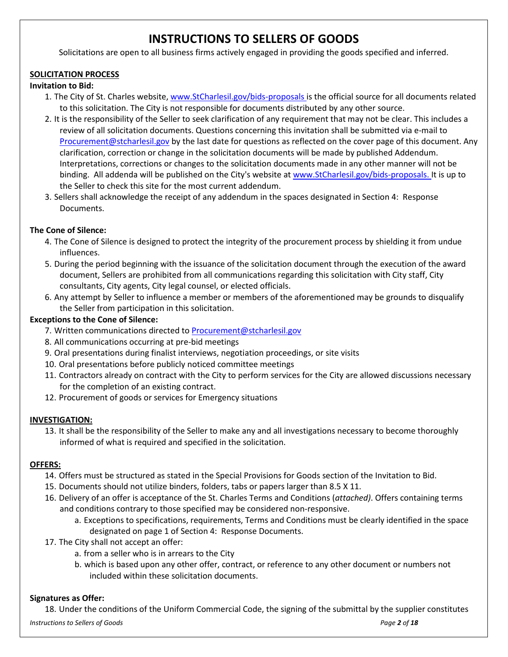### **INSTRUCTIONS TO SELLERS OF GOODS**

Solicitations are open to all business firms actively engaged in providing the goods specified and inferred.

### **SOLICITATION PROCESS**

### **Invitation to Bid:**

- 1. The City of St. Charles website[, www.StCharlesil.gov/bids-proposals is](http://www.wheaton.il.us/bids/) the official source for all documents related to this solicitation. The City is not responsible for documents distributed by any other source.
- 2. It is the responsibility of the Seller to seek clarification of any requirement that may not be clear. This includes a review of all solicitation documents. Questions concerning this invitation shall be submitted via e-mail to [Procurement@stcharlesil.gov](mailto:Procurement@stcharlesil.gov) by the last date for questions as reflected on the cover page of this document. Any clarification, correction or change in the solicitation documents will be made by published Addendum. Interpretations, corrections or changes to the solicitation documents made in any other manner will not be binding. All addenda will be published on the City's website at [www.StCharlesil.gov/bids-proposals. I](http://www.stcharlesil.gov/bids-proposals.)t is up to the Seller to check this site for the most current addendum.
- 3. Sellers shall acknowledge the receipt of any addendum in the spaces designated in Section 4: Response Documents.

### **The Cone of Silence:**

- 4. The Cone of Silence is designed to protect the integrity of the procurement process by shielding it from undue influences.
- 5. During the period beginning with the issuance of the solicitation document through the execution of the award document, Sellers are prohibited from all communications regarding this solicitation with City staff, City consultants, City agents, City legal counsel, or elected officials.
- 6. Any attempt by Seller to influence a member or members of the aforementioned may be grounds to disqualify the Seller from participation in this solicitation.

### **Exceptions to the Cone of Silence:**

- 7. Written communications directed to [Procurement@stcharlesil.gov](mailto:Procurement@stcharlesil.gov)
- 8. All communications occurring at pre-bid meetings
- 9. Oral presentations during finalist interviews, negotiation proceedings, or site visits
- 10. Oral presentations before publicly noticed committee meetings
- 11. Contractors already on contract with the City to perform services for the City are allowed discussions necessary for the completion of an existing contract.
- 12. Procurement of goods or services for Emergency situations

### **INVESTIGATION:**

13. It shall be the responsibility of the Seller to make any and all investigations necessary to become thoroughly informed of what is required and specified in the solicitation.

#### **OFFERS:**

- 14. Offers must be structured as stated in the Special Provisions for Goods section of the Invitation to Bid.
- 15. Documents should not utilize binders, folders, tabs or papers larger than 8.5 X 11.
- 16. Delivery of an offer is acceptance of the St. Charles Terms and Conditions (*attached)*. Offers containing terms and conditions contrary to those specified may be considered non-responsive.
	- a. Exceptions to specifications, requirements, Terms and Conditions must be clearly identified in the space designated on page 1 of Section 4: Response Documents.
- 17. The City shall not accept an offer:
	- a. from a seller who is in arrears to the City
	- b. which is based upon any other offer, contract, or reference to any other document or numbers not included within these solicitation documents.

#### **Signatures as Offer:**

*Instructions to Sellers of Goods Page 2 of 18* 18. Under the conditions of the Uniform Commercial Code, the signing of the submittal by the supplier constitutes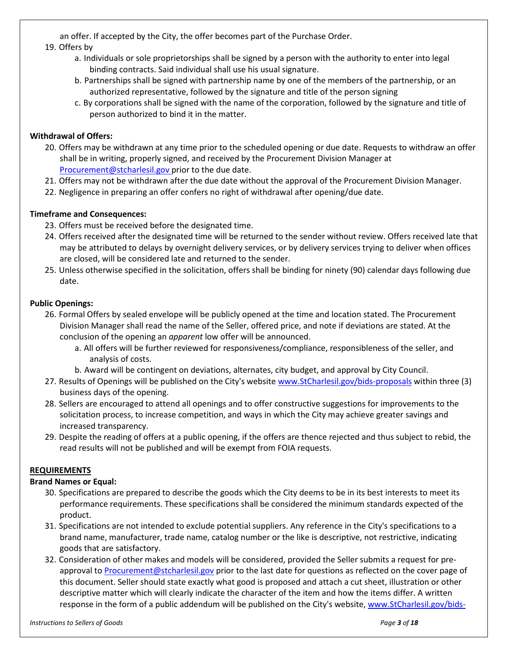an offer. If accepted by the City, the offer becomes part of the Purchase Order.

### 19. Offers by

- a. Individuals or sole proprietorships shall be signed by a person with the authority to enter into legal binding contracts. Said individual shall use his usual signature.
- b. Partnerships shall be signed with partnership name by one of the members of the partnership, or an authorized representative, followed by the signature and title of the person signing
- c. By corporations shall be signed with the name of the corporation, followed by the signature and title of person authorized to bind it in the matter.

### **Withdrawal of Offers:**

- 20. Offers may be withdrawn at any time prior to the scheduled opening or due date. Requests to withdraw an offer shall be in writing, properly signed, and received by the Procurement Division Manager at [Procurement@stcharlesil.gov](mailto:Procurement@stcharlesil.gov) prior to the due date.
- 21. Offers may not be withdrawn after the due date without the approval of the Procurement Division Manager.
- 22. Negligence in preparing an offer confers no right of withdrawal after opening/due date.

### **Timeframe and Consequences:**

- 23. Offers must be received before the designated time.
- 24. Offers received after the designated time will be returned to the sender without review. Offers received late that may be attributed to delays by overnight delivery services, or by delivery services trying to deliver when offices are closed, will be considered late and returned to the sender.
- 25. Unless otherwise specified in the solicitation, offers shall be binding for ninety (90) calendar days following due date.

#### **Public Openings:**

- 26. Formal Offers by sealed envelope will be publicly opened at the time and location stated. The Procurement Division Manager shall read the name of the Seller, offered price, and note if deviations are stated. At the conclusion of the opening an *apparent* low offer will be announced.
	- a. All offers will be further reviewed for responsiveness/compliance, responsibleness of the seller, and analysis of costs.
	- b. Award will be contingent on deviations, alternates, city budget, and approval by City Council.
- 27. Results of Openings will be published on the City's website [www.StCharlesil.gov/bids-proposals](http://www.wheaton.il.us/bids/) within three (3) business days of the opening.
- 28. Sellers are encouraged to attend all openings and to offer constructive suggestions for improvements to the solicitation process, to increase competition, and ways in which the City may achieve greater savings and increased transparency.
- 29. Despite the reading of offers at a public opening, if the offers are thence rejected and thus subject to rebid, the read results will not be published and will be exempt from FOIA requests.

### **REQUIREMENTS**

#### **Brand Names or Equal:**

- 30. Specifications are prepared to describe the goods which the City deems to be in its best interests to meet its performance requirements. These specifications shall be considered the minimum standards expected of the product.
- 31. Specifications are not intended to exclude potential suppliers. Any reference in the City's specifications to a brand name, manufacturer, trade name, catalog number or the like is descriptive, not restrictive, indicating goods that are satisfactory.
- 32. Consideration of other makes and models will be considered, provided the Seller submits a request for preapproval t[o Procurement@stcharlesil.gov](mailto:Procurement@stcharlesil.gov) prior to the last date for questions as reflected on the cover page of this document. Seller should state exactly what good is proposed and attach a cut sheet, illustration or other descriptive matter which will clearly indicate the character of the item and how the items differ. A written response in the form of a public addendum will be published on the City's website[, www.StCharlesil.gov/bids-](http://www.wheaton.il.us/bids/)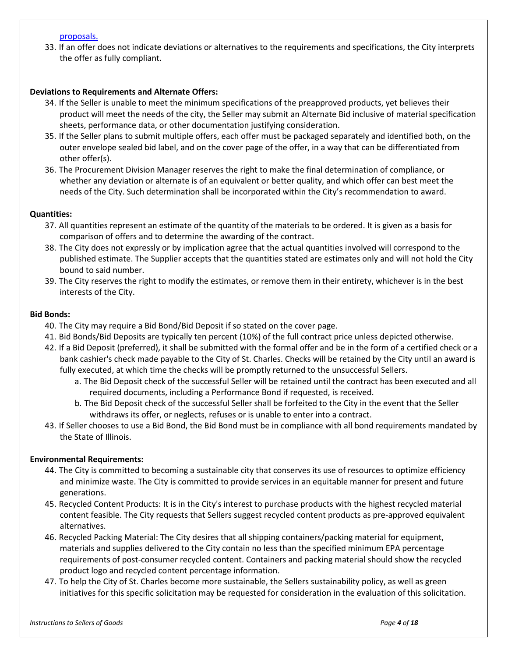#### [proposals.](http://www.wheaton.il.us/bids/)

33. If an offer does not indicate deviations or alternatives to the requirements and specifications, the City interprets the offer as fully compliant.

#### **Deviations to Requirements and Alternate Offers:**

- 34. If the Seller is unable to meet the minimum specifications of the preapproved products, yet believes their product will meet the needs of the city, the Seller may submit an Alternate Bid inclusive of material specification sheets, performance data, or other documentation justifying consideration.
- 35. If the Seller plans to submit multiple offers, each offer must be packaged separately and identified both, on the outer envelope sealed bid label, and on the cover page of the offer, in a way that can be differentiated from other offer(s).
- 36. The Procurement Division Manager reserves the right to make the final determination of compliance, or whether any deviation or alternate is of an equivalent or better quality, and which offer can best meet the needs of the City. Such determination shall be incorporated within the City's recommendation to award.

#### **Quantities:**

- 37. All quantities represent an estimate of the quantity of the materials to be ordered. It is given as a basis for comparison of offers and to determine the awarding of the contract.
- 38. The City does not expressly or by implication agree that the actual quantities involved will correspond to the published estimate. The Supplier accepts that the quantities stated are estimates only and will not hold the City bound to said number.
- 39. The City reserves the right to modify the estimates, or remove them in their entirety, whichever is in the best interests of the City.

#### **Bid Bonds:**

- 40. The City may require a Bid Bond/Bid Deposit if so stated on the cover page.
- 41. Bid Bonds/Bid Deposits are typically ten percent (10%) of the full contract price unless depicted otherwise.
- 42. If a Bid Deposit (preferred), it shall be submitted with the formal offer and be in the form of a certified check or a bank cashier's check made payable to the City of St. Charles. Checks will be retained by the City until an award is fully executed, at which time the checks will be promptly returned to the unsuccessful Sellers.
	- a. The Bid Deposit check of the successful Seller will be retained until the contract has been executed and all required documents, including a Performance Bond if requested, is received.
	- b. The Bid Deposit check of the successful Seller shall be forfeited to the City in the event that the Seller withdraws its offer, or neglects, refuses or is unable to enter into a contract.
- 43. If Seller chooses to use a Bid Bond, the Bid Bond must be in compliance with all bond requirements mandated by the State of Illinois.

#### **Environmental Requirements:**

- 44. The City is committed to becoming a sustainable city that conserves its use of resources to optimize efficiency and minimize waste. The City is committed to provide services in an equitable manner for present and future generations.
- 45. Recycled Content Products: It is in the City's interest to purchase products with the highest recycled material content feasible. The City requests that Sellers suggest recycled content products as pre-approved equivalent alternatives.
- 46. Recycled Packing Material: The City desires that all shipping containers/packing material for equipment, materials and supplies delivered to the City contain no less than the specified minimum EPA percentage requirements of post-consumer recycled content. Containers and packing material should show the recycled product logo and recycled content percentage information.
- 47. To help the City of St. Charles become more sustainable, the Sellers sustainability policy, as well as green initiatives for this specific solicitation may be requested for consideration in the evaluation of this solicitation.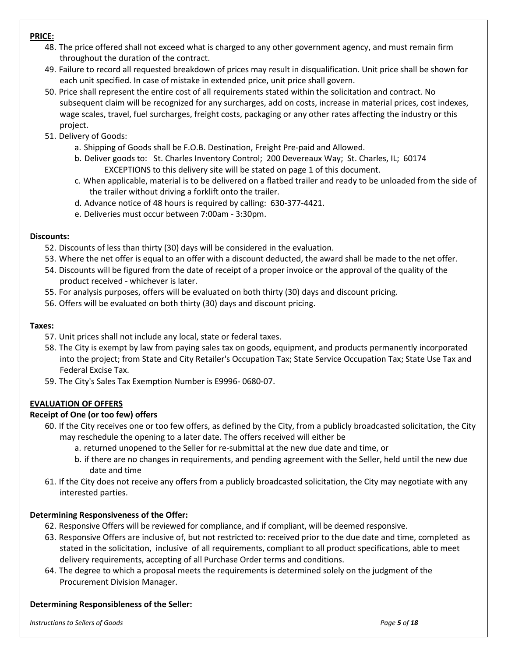### **PRICE:**

- 48. The price offered shall not exceed what is charged to any other government agency, and must remain firm throughout the duration of the contract.
- 49. Failure to record all requested breakdown of prices may result in disqualification. Unit price shall be shown for each unit specified. In case of mistake in extended price, unit price shall govern.
- 50. Price shall represent the entire cost of all requirements stated within the solicitation and contract. No subsequent claim will be recognized for any surcharges, add on costs, increase in material prices, cost indexes, wage scales, travel, fuel surcharges, freight costs, packaging or any other rates affecting the industry or this project.
- 51. Delivery of Goods:
	- a. Shipping of Goods shall be F.O.B. Destination, Freight Pre-paid and Allowed.
	- b. Deliver goods to: St. Charles Inventory Control; 200 Devereaux Way; St. Charles, IL; 60174 EXCEPTIONS to this delivery site will be stated on page 1 of this document.
	- c. When applicable, material is to be delivered on a flatbed trailer and ready to be unloaded from the side of the trailer without driving a forklift onto the trailer.
	- d. Advance notice of 48 hours is required by calling: 630-377-4421.
	- e. Deliveries must occur between 7:00am 3:30pm.

#### **Discounts:**

- 52. Discounts of less than thirty (30) days will be considered in the evaluation.
- 53. Where the net offer is equal to an offer with a discount deducted, the award shall be made to the net offer.
- 54. Discounts will be figured from the date of receipt of a proper invoice or the approval of the quality of the product received - whichever is later.
- 55. For analysis purposes, offers will be evaluated on both thirty (30) days and discount pricing.
- 56. Offers will be evaluated on both thirty (30) days and discount pricing.

#### **Taxes:**

- 57. Unit prices shall not include any local, state or federal taxes.
- 58. The City is exempt by law from paying sales tax on goods, equipment, and products permanently incorporated into the project; from State and City Retailer's Occupation Tax; State Service Occupation Tax; State Use Tax and Federal Excise Tax.
- 59. The City's Sales Tax Exemption Number is E9996- 0680-07.

#### **EVALUATION OF OFFERS**

#### **Receipt of One (or too few) offers**

- 60. If the City receives one or too few offers, as defined by the City, from a publicly broadcasted solicitation, the City may reschedule the opening to a later date. The offers received will either be
	- a. returned unopened to the Seller for re-submittal at the new due date and time, or
	- b. if there are no changes in requirements, and pending agreement with the Seller, held until the new due date and time
- 61. If the City does not receive any offers from a publicly broadcasted solicitation, the City may negotiate with any interested parties.

#### **Determining Responsiveness of the Offer:**

- 62. Responsive Offers will be reviewed for compliance, and if compliant, will be deemed responsive.
- 63. Responsive Offers are inclusive of, but not restricted to: received prior to the due date and time, completed as stated in the solicitation, inclusive of all requirements, compliant to all product specifications, able to meet delivery requirements, accepting of all Purchase Order terms and conditions.
- 64. The degree to which a proposal meets the requirements is determined solely on the judgment of the Procurement Division Manager.

#### **Determining Responsibleness of the Seller:**

*Instructions to Sellers of Goods Page 5 of 18*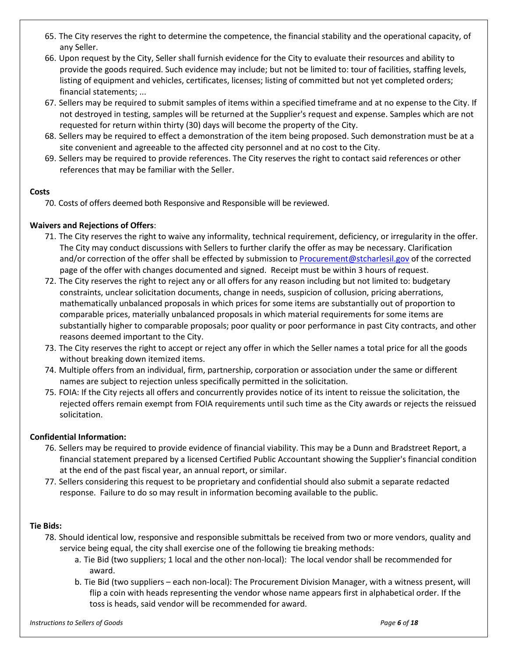- 65. The City reserves the right to determine the competence, the financial stability and the operational capacity, of any Seller.
- 66. Upon request by the City, Seller shall furnish evidence for the City to evaluate their resources and ability to provide the goods required. Such evidence may include; but not be limited to: tour of facilities, staffing levels, listing of equipment and vehicles, certificates, licenses; listing of committed but not yet completed orders; financial statements; ...
- 67. Sellers may be required to submit samples of items within a specified timeframe and at no expense to the City. If not destroyed in testing, samples will be returned at the Supplier's request and expense. Samples which are not requested for return within thirty (30) days will become the property of the City.
- 68. Sellers may be required to effect a demonstration of the item being proposed. Such demonstration must be at a site convenient and agreeable to the affected city personnel and at no cost to the City.
- 69. Sellers may be required to provide references. The City reserves the right to contact said references or other references that may be familiar with the Seller.

### **Costs**

70. Costs of offers deemed both Responsive and Responsible will be reviewed.

### **Waivers and Rejections of Offers**:

- 71. The City reserves the right to waive any informality, technical requirement, deficiency, or irregularity in the offer. The City may conduct discussions with Sellers to further clarify the offer as may be necessary. Clarification and/or correction of the offer shall be effected by submission to [Procurement@stcharlesil.gov](mailto:Procurement@stcharlesil.gov) of the corrected page of the offer with changes documented and signed. Receipt must be within 3 hours of request.
- 72. The City reserves the right to reject any or all offers for any reason including but not limited to: budgetary constraints, unclear solicitation documents, change in needs, suspicion of collusion, pricing aberrations, mathematically unbalanced proposals in which prices for some items are substantially out of proportion to comparable prices, materially unbalanced proposals in which material requirements for some items are substantially higher to comparable proposals; poor quality or poor performance in past City contracts, and other reasons deemed important to the City.
- 73. The City reserves the right to accept or reject any offer in which the Seller names a total price for all the goods without breaking down itemized items.
- 74. Multiple offers from an individual, firm, partnership, corporation or association under the same or different names are subject to rejection unless specifically permitted in the solicitation.
- 75. FOIA: If the City rejects all offers and concurrently provides notice of its intent to reissue the solicitation, the rejected offers remain exempt from FOIA requirements until such time as the City awards or rejects the reissued solicitation.

#### **Confidential Information:**

- 76. Sellers may be required to provide evidence of financial viability. This may be a Dunn and Bradstreet Report, a financial statement prepared by a licensed Certified Public Accountant showing the Supplier's financial condition at the end of the past fiscal year, an annual report, or similar.
- 77. Sellers considering this request to be proprietary and confidential should also submit a separate redacted response. Failure to do so may result in information becoming available to the public.

#### **Tie Bids:**

- 78. Should identical low, responsive and responsible submittals be received from two or more vendors, quality and service being equal, the city shall exercise one of the following tie breaking methods:
	- a. Tie Bid (two suppliers; 1 local and the other non-local): The local vendor shall be recommended for award.
	- b. Tie Bid (two suppliers each non-local): The Procurement Division Manager, with a witness present, will flip a coin with heads representing the vendor whose name appears first in alphabetical order. If the toss is heads, said vendor will be recommended for award.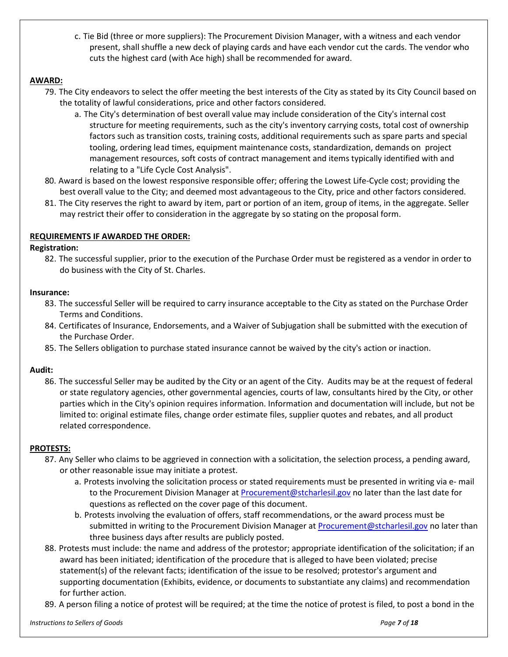c. Tie Bid (three or more suppliers): The Procurement Division Manager, with a witness and each vendor present, shall shuffle a new deck of playing cards and have each vendor cut the cards. The vendor who cuts the highest card (with Ace high) shall be recommended for award.

#### **AWARD:**

- 79. The City endeavors to select the offer meeting the best interests of the City as stated by its City Council based on the totality of lawful considerations, price and other factors considered.
	- a. The City's determination of best overall value may include consideration of the City's internal cost structure for meeting requirements, such as the city's inventory carrying costs, total cost of ownership factors such as transition costs, training costs, additional requirements such as spare parts and special tooling, ordering lead times, equipment maintenance costs, standardization, demands on project management resources, soft costs of contract management and items typically identified with and relating to a "Life Cycle Cost Analysis".
- 80. Award is based on the lowest responsive responsible offer; offering the Lowest Life-Cycle cost; providing the best overall value to the City; and deemed most advantageous to the City, price and other factors considered.
- 81. The City reserves the right to award by item, part or portion of an item, group of items, in the aggregate. Seller may restrict their offer to consideration in the aggregate by so stating on the proposal form.

### **REQUIREMENTS IF AWARDED THE ORDER:**

#### **Registration:**

82. The successful supplier, prior to the execution of the Purchase Order must be registered as a vendor in order to do business with the City of St. Charles.

#### **Insurance:**

- 83. The successful Seller will be required to carry insurance acceptable to the City as stated on the Purchase Order Terms and Conditions.
- 84. Certificates of Insurance, Endorsements, and a Waiver of Subjugation shall be submitted with the execution of the Purchase Order.
- 85. The Sellers obligation to purchase stated insurance cannot be waived by the city's action or inaction.

#### **Audit:**

86. The successful Seller may be audited by the City or an agent of the City. Audits may be at the request of federal or state regulatory agencies, other governmental agencies, courts of law, consultants hired by the City, or other parties which in the City's opinion requires information. Information and documentation will include, but not be limited to: original estimate files, change order estimate files, supplier quotes and rebates, and all product related correspondence.

#### **PROTESTS:**

- 87. Any Seller who claims to be aggrieved in connection with a solicitation, the selection process, a pending award, or other reasonable issue may initiate a protest.
	- a. Protests involving the solicitation process or stated requirements must be presented in writing via e- mail to the Procurement Division Manager a[t Procurement@stcharlesil.gov](mailto:Procurement@stcharlesil.gov) no later than the last date for questions as reflected on the cover page of this document.
	- b. Protests involving the evaluation of offers, staff recommendations, or the award process must be submitted in writing to the Procurement Division Manager a[t Procurement@stcharlesil.gov](mailto:Procurement@stcharlesil.gov) no later than three business days after results are publicly posted.
- 88. Protests must include: the name and address of the protestor; appropriate identification of the solicitation; if an award has been initiated; identification of the procedure that is alleged to have been violated; precise statement(s) of the relevant facts; identification of the issue to be resolved; protestor's argument and supporting documentation (Exhibits, evidence, or documents to substantiate any claims) and recommendation for further action.
- 89. A person filing a notice of protest will be required; at the time the notice of protest is filed, to post a bond in the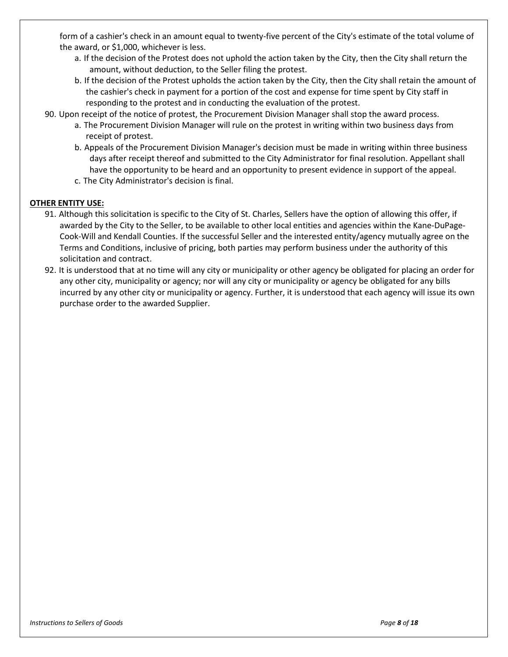form of a cashier's check in an amount equal to twenty-five percent of the City's estimate of the total volume of the award, or \$1,000, whichever is less.

- a. If the decision of the Protest does not uphold the action taken by the City, then the City shall return the amount, without deduction, to the Seller filing the protest.
- b. If the decision of the Protest upholds the action taken by the City, then the City shall retain the amount of the cashier's check in payment for a portion of the cost and expense for time spent by City staff in responding to the protest and in conducting the evaluation of the protest.
- 90. Upon receipt of the notice of protest, the Procurement Division Manager shall stop the award process.
	- a. The Procurement Division Manager will rule on the protest in writing within two business days from receipt of protest.
	- b. Appeals of the Procurement Division Manager's decision must be made in writing within three business days after receipt thereof and submitted to the City Administrator for final resolution. Appellant shall have the opportunity to be heard and an opportunity to present evidence in support of the appeal.
	- c. The City Administrator's decision is final.

### **OTHER ENTITY USE:**

- 91. Although this solicitation is specific to the City of St. Charles, Sellers have the option of allowing this offer, if awarded by the City to the Seller, to be available to other local entities and agencies within the Kane-DuPage-Cook-Will and Kendall Counties. If the successful Seller and the interested entity/agency mutually agree on the Terms and Conditions, inclusive of pricing, both parties may perform business under the authority of this solicitation and contract.
- 92. It is understood that at no time will any city or municipality or other agency be obligated for placing an order for any other city, municipality or agency; nor will any city or municipality or agency be obligated for any bills incurred by any other city or municipality or agency. Further, it is understood that each agency will issue its own purchase order to the awarded Supplier.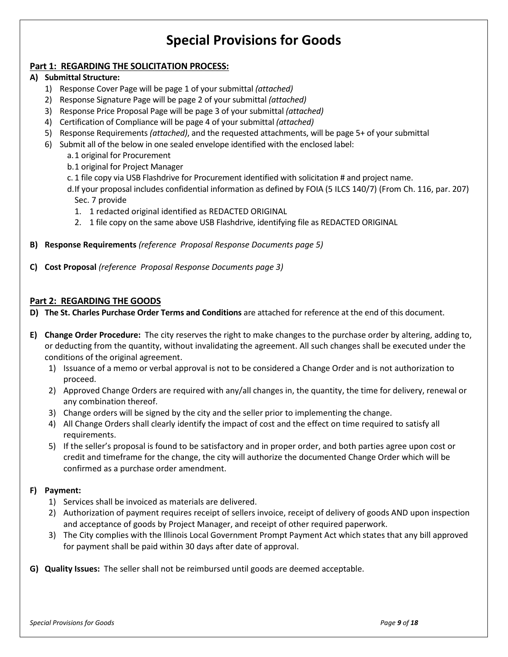# **Special Provisions for Goods**

### **Part 1: REGARDING THE SOLICITATION PROCESS:**

#### **A) Submittal Structure:**

- 1) Response Cover Page will be page 1 of your submittal *(attached)*
- 2) Response Signature Page will be page 2 of your submittal *(attached)*
- 3) Response Price Proposal Page will be page 3 of your submittal *(attached)*
- 4) Certification of Compliance will be page 4 of your submittal *(attached)*
- 5) Response Requirements *(attached)*, and the requested attachments, will be page 5+ of your submittal
- 6) Submit all of the below in one sealed envelope identified with the enclosed label:
	- a.1 original for Procurement
	- b.1 original for Project Manager
	- c. 1 file copy via USB Flashdrive for Procurement identified with solicitation # and project name.
	- d.If your proposal includes confidential information as defined by FOIA (5 ILCS 140/7) (From Ch. 116, par. 207) Sec. 7 provide
		- 1. 1 redacted original identified as REDACTED ORIGINAL
		- 2. 1 file copy on the same above USB Flashdrive, identifying file as REDACTED ORIGINAL
- **B) Response Requirements** *(reference Proposal Response Documents page 5)*
- **C) Cost Proposal** *(reference Proposal Response Documents page 3)*

#### **Part 2: REGARDING THE GOODS**

- **D) The St. Charles Purchase Order Terms and Conditions** are attached for reference at the end of this document.
- **E) Change Order Procedure:** The city reserves the right to make changes to the purchase order by altering, adding to, or deducting from the quantity, without invalidating the agreement. All such changes shall be executed under the conditions of the original agreement.
	- 1) Issuance of a memo or verbal approval is not to be considered a Change Order and is not authorization to proceed.
	- 2) Approved Change Orders are required with any/all changes in, the quantity, the time for delivery, renewal or any combination thereof.
	- 3) Change orders will be signed by the city and the seller prior to implementing the change.
	- 4) All Change Orders shall clearly identify the impact of cost and the effect on time required to satisfy all requirements.
	- 5) If the seller's proposal is found to be satisfactory and in proper order, and both parties agree upon cost or credit and timeframe for the change, the city will authorize the documented Change Order which will be confirmed as a purchase order amendment.

#### **F) Payment:**

- 1) Services shall be invoiced as materials are delivered.
- 2) Authorization of payment requires receipt of sellers invoice, receipt of delivery of goods AND upon inspection and acceptance of goods by Project Manager, and receipt of other required paperwork.
- 3) The City complies with the Illinois Local Government Prompt Payment Act which states that any bill approved for payment shall be paid within 30 days after date of approval.
- **G) Quality Issues:** The seller shall not be reimbursed until goods are deemed acceptable.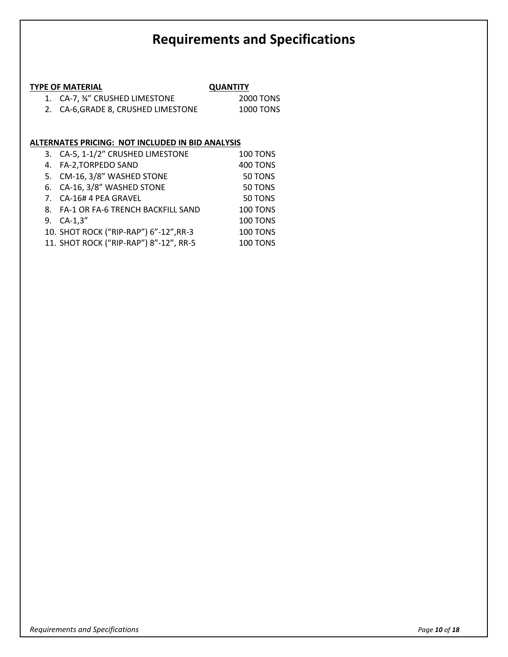# **Requirements and Specifications**

### **TYPE OF MATERIAL QUANTITY**

| 1. CA-7, 34" CRUSHED LIMESTONE      | 2000 TONS |
|-------------------------------------|-----------|
| 2. CA-6, GRADE 8, CRUSHED LIMESTONE | 1000 TONS |

### **ALTERNATES PRICING: NOT INCLUDED IN BID ANALYSIS**

| 3. CA-5, 1-1/2" CRUSHED LIMESTONE      | <b>100 TONS</b> |
|----------------------------------------|-----------------|
| 4. FA-2, TORPEDO SAND                  | <b>400 TONS</b> |
| 5. CM-16, 3/8" WASHED STONE            | 50 TONS         |
| 6. CA-16, 3/8" WASHED STONE            | 50 TONS         |
| 7. CA-16# 4 PEA GRAVEL                 | 50 TONS         |
| 8. FA-1 OR FA-6 TRENCH BACKFILL SAND   | 100 TONS        |
| 9. CA-1,3"                             | 100 TONS        |
| 10. SHOT ROCK ("RIP-RAP") 6"-12", RR-3 | <b>100 TONS</b> |
| 11. SHOT ROCK ("RIP-RAP") 8"-12", RR-5 | <b>100 TONS</b> |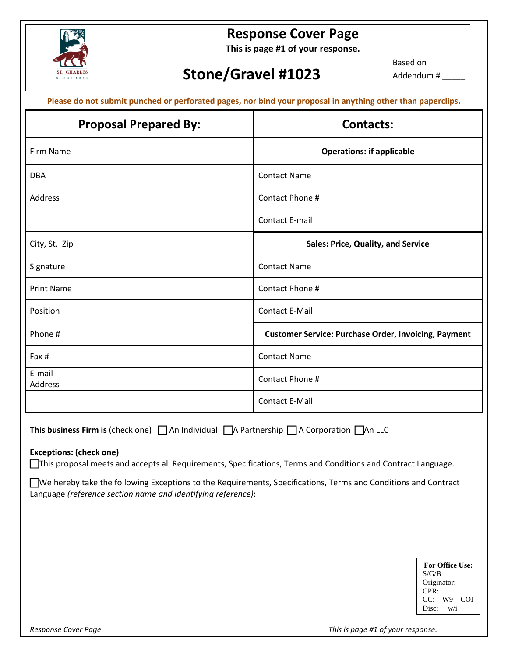

# **Response Cover Page**

**This is page #1 of your response.**

# **Stone/Gravel #1023**

Based on Addendum # \_\_\_\_\_

| <b>Proposal Prepared By:</b> | <b>Contacts:</b>                                            |
|------------------------------|-------------------------------------------------------------|
| <b>Firm Name</b>             | <b>Operations: if applicable</b>                            |
| <b>DBA</b>                   | <b>Contact Name</b>                                         |
| Address                      | Contact Phone #                                             |
|                              | <b>Contact E-mail</b>                                       |
| City, St, Zip                | <b>Sales: Price, Quality, and Service</b>                   |
| Signature                    | <b>Contact Name</b>                                         |
| <b>Print Name</b>            | Contact Phone #                                             |
| Position                     | <b>Contact E-Mail</b>                                       |
| Phone #                      | <b>Customer Service: Purchase Order, Invoicing, Payment</b> |
| Fax #                        | <b>Contact Name</b>                                         |
| E-mail<br>Address            | Contact Phone #                                             |
|                              | <b>Contact E-Mail</b>                                       |

**This business Firm is** (check one)  $\Box$  An Individual  $\Box$  A Partnership  $\Box$  A Corporation  $\Box$  An LLC

#### **Exceptions: (check one)**

This proposal meets and accepts all Requirements, Specifications, Terms and Conditions and Contract Language.

We hereby take the following Exceptions to the Requirements, Specifications, Terms and Conditions and Contract Language *(reference section name and identifying reference)*:

|             | <b>For Office Use:</b> |  |
|-------------|------------------------|--|
| S/G/B       |                        |  |
| Originator: |                        |  |
| CPR:        |                        |  |
|             | $CC:$ W9 $COI$         |  |
| Disc:       | w/i                    |  |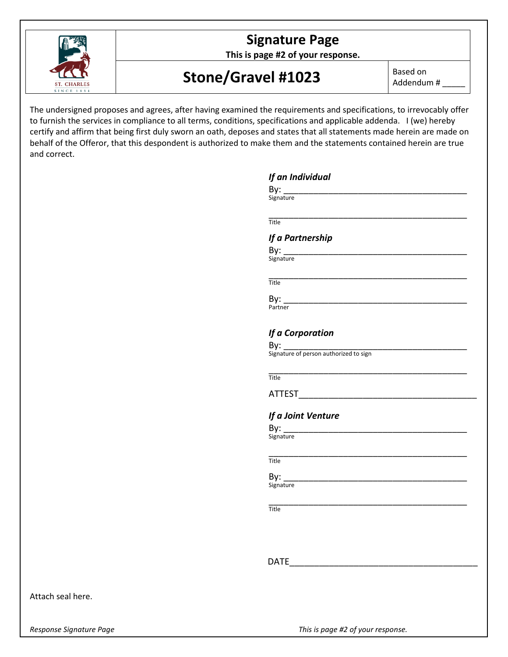

**This is page #2 of your response.**

# Stone/Gravel #1023 Based on

Addendum # \_\_\_\_\_

The undersigned proposes and agrees, after having examined the requirements and specifications, to irrevocably offer to furnish the services in compliance to all terms, conditions, specifications and applicable addenda. I (we) hereby certify and affirm that being first duly sworn an oath, deposes and states that all statements made herein are made on behalf of the Offeror, that this despondent is authorized to make them and the statements contained herein are true and correct.

| If an Individual<br>By:                |  |
|----------------------------------------|--|
| Signature                              |  |
| Title                                  |  |
| If a Partnership                       |  |
| By:                                    |  |
| Signature                              |  |
| Title                                  |  |
| By:                                    |  |
| Partner                                |  |
| If a Corporation                       |  |
| By:                                    |  |
| Signature of person authorized to sign |  |
| <b>Title</b>                           |  |
| <b>ATTEST</b>                          |  |
| If a Joint Venture                     |  |
| By:                                    |  |
| Signature                              |  |
| <b>Title</b>                           |  |
| By:                                    |  |
| Signature                              |  |
| Title                                  |  |
|                                        |  |
|                                        |  |
| <b>DATE</b>                            |  |
|                                        |  |
|                                        |  |

**ST. CHARLE:** 

*Response Signature Page This is page #2 of your response.*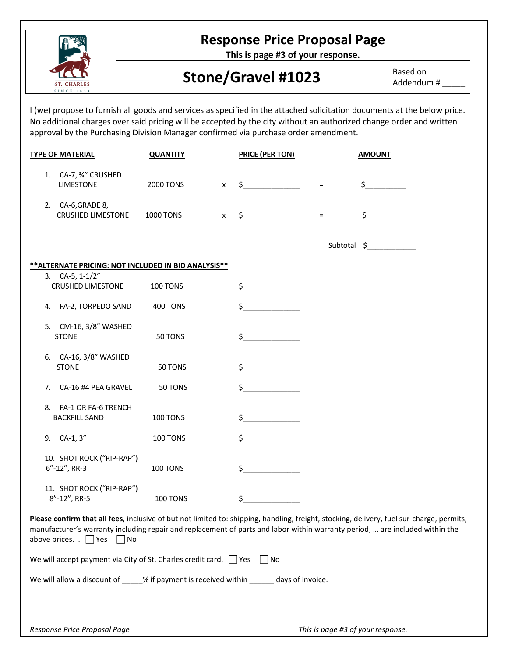

# **Response Price Proposal Page**

**This is page #3 of your response.**

# Stone/Gravel #1023 Based on

Addendum # \_\_\_\_\_

I (we) propose to furnish all goods and services as specified in the attached solicitation documents at the below price. No additional charges over said pricing will be accepted by the city without an authorized change order and written approval by the Purchasing Division Manager confirmed via purchase order amendment.

| <b>TYPE OF MATERIAL</b>                                                                                                                                                                                                                                                                                         | <b>QUANTITY</b>  |              | <b>PRICE (PER TON)</b> |          | <b>AMOUNT</b> |
|-----------------------------------------------------------------------------------------------------------------------------------------------------------------------------------------------------------------------------------------------------------------------------------------------------------------|------------------|--------------|------------------------|----------|---------------|
| 1. CA-7, 34" CRUSHED<br><b>LIMESTONE</b>                                                                                                                                                                                                                                                                        | 2000 TONS        | $\mathsf{X}$ | $\sharp$               | $\equiv$ | $\zeta$       |
| 2. CA-6, GRADE 8,<br><b>CRUSHED LIMESTONE</b>                                                                                                                                                                                                                                                                   | <b>1000 TONS</b> | $\mathsf{x}$ | $\sharp$               | $\equiv$ | \$            |
|                                                                                                                                                                                                                                                                                                                 |                  |              |                        |          | Subtotal \$   |
| ** ALTERNATE PRICING: NOT INCLUDED IN BID ANALYSIS**                                                                                                                                                                                                                                                            |                  |              |                        |          |               |
| 3. $CA-5$ , $1-1/2"$<br><b>CRUSHED LIMESTONE</b>                                                                                                                                                                                                                                                                | 100 TONS         |              | $\zeta$                |          |               |
| 4. FA-2, TORPEDO SAND                                                                                                                                                                                                                                                                                           | 400 TONS         |              | \$                     |          |               |
| 5. CM-16, 3/8" WASHED<br><b>STONE</b>                                                                                                                                                                                                                                                                           | 50 TONS          |              | \$                     |          |               |
| 6. CA-16, 3/8" WASHED<br><b>STONE</b>                                                                                                                                                                                                                                                                           | 50 TONS          |              | \$                     |          |               |
| CA-16 #4 PEA GRAVEL<br>7.                                                                                                                                                                                                                                                                                       | 50 TONS          |              | \$                     |          |               |
| 8. FA-1 OR FA-6 TRENCH<br><b>BACKFILL SAND</b>                                                                                                                                                                                                                                                                  | 100 TONS         |              | \$                     |          |               |
| 9. CA-1, 3"                                                                                                                                                                                                                                                                                                     | 100 TONS         |              | $\mathsf{S}_-$         |          |               |
| 10. SHOT ROCK ("RIP-RAP")<br>$6''-12''$ , RR-3                                                                                                                                                                                                                                                                  | 100 TONS         |              | $\zeta$                |          |               |
| 11. SHOT ROCK ("RIP-RAP")<br>8"-12", RR-5                                                                                                                                                                                                                                                                       | 100 TONS         |              | \$                     |          |               |
| Please confirm that all fees, inclusive of but not limited to: shipping, handling, freight, stocking, delivery, fuel sur-charge, permits,<br>manufacturer's warranty including repair and replacement of parts and labor within warranty period;  are included within the<br>above prices. $\Box$ Yes $\Box$ No |                  |              |                        |          |               |
| We will accept payment via City of St. Charles credit card. $\Box$ Yes $\Box$ No                                                                                                                                                                                                                                |                  |              |                        |          |               |
| We will allow a discount of ____% if payment is received within ______ days of invoice.                                                                                                                                                                                                                         |                  |              |                        |          |               |
|                                                                                                                                                                                                                                                                                                                 |                  |              |                        |          |               |
|                                                                                                                                                                                                                                                                                                                 |                  |              |                        |          |               |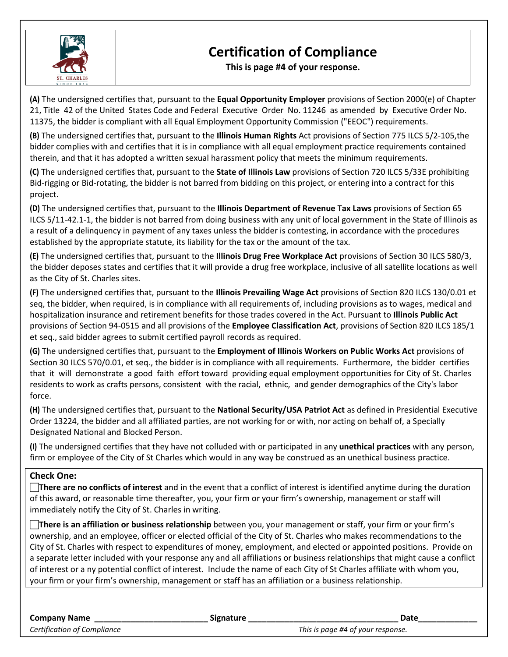

# **Certification of Compliance**

**This is page #4 of your response.**

**(A)** The undersigned certifies that, pursuant to the **Equal Opportunity Employer** provisions of Section 2000(e) of Chapter 21, Title 42 of the United States Code and Federal Executive Order No. 11246 as amended by Executive Order No. 11375, the bidder is compliant with all Equal Employment Opportunity Commission ("EEOC") requirements.

**(B)** The undersigned certifies that, pursuant to the **Illinois Human Rights** Act provisions of Section 775 ILCS 5/2-105,the bidder complies with and certifies that it is in compliance with all equal employment practice requirements contained therein, and that it has adopted a written sexual harassment policy that meets the minimum requirements.

**(C)** The undersigned certifies that, pursuant to the **State of Illinois Law** provisions of Section 720 ILCS 5/33E prohibiting Bid-rigging or Bid-rotating, the bidder is not barred from bidding on this project, or entering into a contract for this project.

**(D)** The undersigned certifies that, pursuant to the **Illinois Department of Revenue Tax Laws** provisions of Section 65 ILCS 5/11-42.1-1, the bidder is not barred from doing business with any unit of local government in the State of Illinois as a result of a delinquency in payment of any taxes unless the bidder is contesting, in accordance with the procedures established by the appropriate statute, its liability for the tax or the amount of the tax.

**(E)** The undersigned certifies that, pursuant to the **Illinois Drug Free Workplace Act** provisions of Section 30 ILCS 580/3, the bidder deposes states and certifies that it will provide a drug free workplace, inclusive of all satellite locations as well as the City of St. Charles sites.

**(F)** The undersigned certifies that, pursuant to the **Illinois Prevailing Wage Act** provisions of Section 820 ILCS 130/0.01 et seq, the bidder, when required, is in compliance with all requirements of, including provisions as to wages, medical and hospitalization insurance and retirement benefits for those trades covered in the Act. Pursuant to **Illinois Public Act** provisions of Section 94-0515 and all provisions of the **Employee Classification Act**, provisions of Section 820 ILCS 185/1 et seq., said bidder agrees to submit certified payroll records as required.

**(G)** The undersigned certifies that, pursuant to the **Employment of Illinois Workers on Public Works Act** provisions of Section 30 ILCS 570/0.01, et seq., the bidder is in compliance with all requirements. Furthermore, the bidder certifies that it will demonstrate a good faith effort toward providing equal employment opportunities for City of St. Charles residents to work as crafts persons, consistent with the racial, ethnic, and gender demographics of the City's labor force.

**(H)** The undersigned certifies that, pursuant to the **National Security/USA Patriot Act** as defined in Presidential Executive Order 13224, the bidder and all affiliated parties, are not working for or with, nor acting on behalf of, a Specially Designated National and Blocked Person.

**(I)** The undersigned certifies that they have not colluded with or participated in any **unethical practices** with any person, firm or employee of the City of St Charles which would in any way be construed as an unethical business practice.

### **Check One:**

**There are no conflicts of interest** and in the event that a conflict of interest is identified anytime during the duration of this award, or reasonable time thereafter, you, your firm or your firm's ownership, management or staff will immediately notify the City of St. Charles in writing.

**There is an affiliation or business relationship** between you, your management or staff, your firm or your firm's ownership, and an employee, officer or elected official of the City of St. Charles who makes recommendations to the City of St. Charles with respect to expenditures of money, employment, and elected or appointed positions. Provide on a separate letter included with your response any and all affiliations or business relationships that might cause a conflict of interest or a ny potential conflict of interest. Include the name of each City of St Charles affiliate with whom you, your firm or your firm's ownership, management or staff has an affiliation or a business relationship.

| <b>Company Name</b>         | <b>Signature</b> | Date                              |
|-----------------------------|------------------|-----------------------------------|
| Certification of Compliance |                  | This is page #4 of your response. |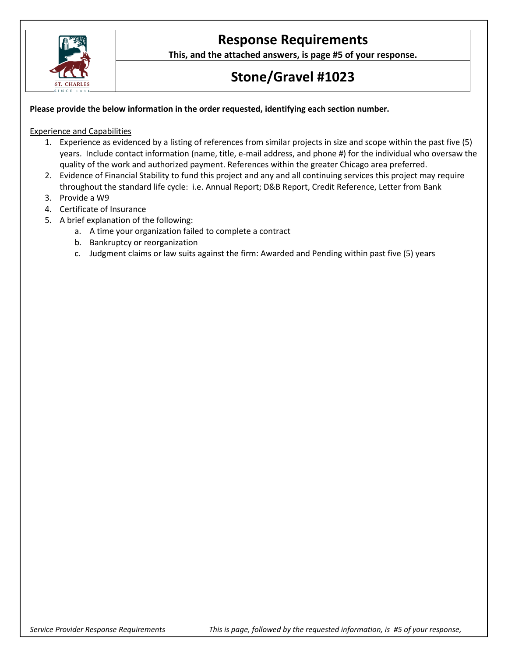

# **Response Requirements**

**This, and the attached answers, is page #5 of your response.**

# **Stone/Gravel #1023**

### **Please provide the below information in the order requested, identifying each section number.**

#### Experience and Capabilities

- 1. Experience as evidenced by a listing of references from similar projects in size and scope within the past five (5) years. Include contact information (name, title, e-mail address, and phone #) for the individual who oversaw the quality of the work and authorized payment. References within the greater Chicago area preferred.
- 2. Evidence of Financial Stability to fund this project and any and all continuing services this project may require throughout the standard life cycle: i.e. Annual Report; D&B Report, Credit Reference, Letter from Bank
- 3. Provide a W9
- 4. Certificate of Insurance
- 5. A brief explanation of the following:
	- a. A time your organization failed to complete a contract
	- b. Bankruptcy or reorganization
	- c. Judgment claims or law suits against the firm: Awarded and Pending within past five (5) years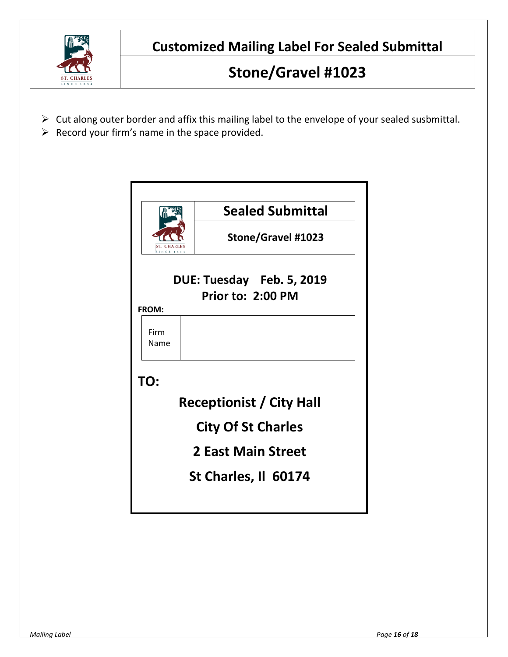

**Customized Mailing Label For Sealed Submittal**

# **Stone/Gravel #1023**

- $\triangleright$  Cut along outer border and affix this mailing label to the envelope of your sealed susbmittal.
- $\triangleright$  Record your firm's name in the space provided.

|                                                | <b>Sealed Submittal</b>         |  |  |  |
|------------------------------------------------|---------------------------------|--|--|--|
| <b>SINCE 183</b>                               | <b>Stone/Gravel #1023</b>       |  |  |  |
| DUE: Tuesday Feb. 5, 2019<br>Prior to: 2:00 PM |                                 |  |  |  |
| <b>FROM:</b>                                   |                                 |  |  |  |
| Firm<br>Name                                   |                                 |  |  |  |
| TO:                                            |                                 |  |  |  |
|                                                | <b>Receptionist / City Hall</b> |  |  |  |
| <b>City Of St Charles</b>                      |                                 |  |  |  |
| <b>2 East Main Street</b>                      |                                 |  |  |  |
| St Charles, Il 60174                           |                                 |  |  |  |
|                                                |                                 |  |  |  |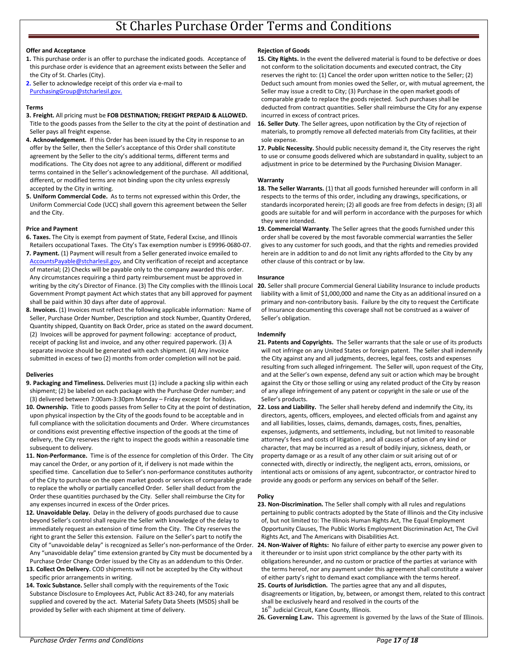## St Charles Purchase Order Terms and Conditions

#### **Offer and Acceptance**

- **1.** This purchase order is an offer to purchase the indicated goods. Acceptance of this purchase order is evidence that an agreement exists between the Seller and the City of St. Charles (City).
- **2.** Seller to acknowledge receipt of this order via e-mail to [PurchasingGroup@stcharlesil.gov.](mailto:PurchasingGroup@stcharlesil.gov)

#### **Terms**

- **3. Freight.** All pricing must be **FOB DESTINATION; FREIGHT PREPAID & ALLOWED.**  Title to the goods passes from the Seller to the city at the point of destination and Seller pays all freight expense.
- **4. Acknowledgement.** If this Order has been issued by the City in response to an offer by the Seller, then the Seller's acceptance of this Order shall constitute agreement by the Seller to the city's additional terms, different terms and modifications. The City does not agree to any additional, different or modified terms contained in the Seller's acknowledgement of the purchase. All additional, different, or modified terms are not binding upon the city unless expressly accepted by the City in writing.
- **5. Uniform Commercial Code.** As to terms not expressed within this Order, the Uniform Commercial Code (UCC) shall govern this agreement between the Seller and the City.

#### **Price and Payment**

- **6. Taxes.** The City is exempt from payment of State, Federal Excise, and Illinois Retailers occupational Taxes. The City's Tax exemption number is E9996-0680-07.
- **7. Payment.** (1) Payment will result from a Seller generated invoice emailed to [AccountsPayable@stcharlesil.gov,](mailto:AccountsPayable@stcharlesil.gov) and City verification of receipt and acceptance of material; (2) Checks will be payable only to the company awarded this order. Any circumstances requiring a third party reimbursement must be approved in Government Prompt payment Act which states that any bill approved for payment shall be paid within 30 days after date of approval.
- **8. Invoices.** (1) Invoices must reflect the following applicable information: Name of Seller, Purchase Order Number, Description and stock Number, Quantity Ordered, Quantity shipped, Quantity on Back Order, price as stated on the award document. (2) Invoices will be approved for payment following: acceptance of product, receipt of packing list and invoice, and any other required paperwork. (3) A separate invoice should be generated with each shipment. (4) Any invoice submitted in excess of two (2) months from order completion will not be paid.

#### **Deliveries**

- **9. Packaging and Timeliness.** Deliveries must (1) include a packing slip within each shipment; (2) be labeled on each package with the Purchase Order number; and (3) delivered between 7:00am-3:30pm Monday – Friday except for holidays.
- **10. Ownership.** Title to goods passes from Seller to City at the point of destination, upon physical inspection by the City of the goods found to be acceptable and in full compliance with the solicitation documents and Order. Where circumstances or conditions exist preventing effective inspection of the goods at the time of delivery, the City reserves the right to inspect the goods within a reasonable time subsequent to delivery.
- **11. Non-Performance.** Time is of the essence for completion of this Order. The City may cancel the Order, or any portion of it, if delivery is not made within the specified time. Cancellation due to Seller's non-performance constitutes authority of the City to purchase on the open market goods or services of comparable grade to replace the wholly or partially cancelled Order. Seller shall deduct from the Order these quantities purchased by the City. Seller shall reimburse the City for any expenses incurred in excess of the Order prices.
- **12. Unavoidable Delay.** Delay in the delivery of goods purchased due to cause beyond Seller's control shall require the Seller with knowledge of the delay to immediately request an extension of time from the City. The City reserves the right to grant the Seller this extension. Failure on the Seller's part to notify the Any "unavoidable delay" time extension granted by City must be documented by a Purchase Order Change Order issued by the City as an addendum to this Order.
- **13. Collect On Delivery.** COD shipments will not be accepted by the City without specific prior arrangements in writing.
- **14. Toxic Substance.** Seller shall comply with the requirements of the Toxic Substance Disclosure to Employees Act, Public Act 83-240, for any materials supplied and covered by the act. Material Safety Data Sheets (MSDS) shall be provided by Seller with each shipment at time of delivery.

#### **Rejection of Goods**

- **15. City Rights.** In the event the delivered material is found to be defective or does not conform to the solicitation documents and executed contract, the City reserves the right to: (1) Cancel the order upon written notice to the Seller; (2) Deduct such amount from monies owed the Seller, or, with mutual agreement, the Seller may issue a credit to City; (3) Purchase in the open market goods of comparable grade to replace the goods rejected. Such purchases shall be deducted from contract quantities. Seller shall reimburse the City for any expense incurred in excess of contract prices.
- **16. Seller Duty**. The Seller agrees, upon notification by the City of rejection of materials, to promptly remove all defected materials from City facilities, at their sole expense.
- **17. Public Necessity.** Should public necessity demand it, the City reserves the right to use or consume goods delivered which are substandard in quality, subject to an adjustment in price to be determined by the Purchasing Division Manager.

#### **Warranty**

- 18. The Seller Warrants. (1) that all goods furnished hereunder will conform in all respects to the terms of this order, including any drawings, specifications, or standards incorporated herein; (2) all goods are free from defects in design; (3) all goods are suitable for and will perform in accordance with the purposes for which they were intended.
- **19. Commercial Warranty**. The Seller agrees that the goods furnished under this order shall be covered by the most favorable commercial warranties the Seller gives to any customer for such goods, and that the rights and remedies provided herein are in addition to and do not limit any rights afforded to the City by any other clause of this contract or by law.

#### **Insurance**

writing by the city's Director of Finance. (3) The City complies with the Illinois Local 20. Seller shall procure Commercial General Liability Insurance to include products liability with a limit of \$1,000,000 and name the City as an additional insured on a primary and non-contributory basis. Failure by the city to request the Certificate of Insurance documenting this coverage shall not be construed as a waiver of Seller's obligation.

#### **Indemnify**

- **21. Patents and Copyrights.** The Seller warrants that the sale or use of its products will not infringe on any United States or foreign patent. The Seller shall indemnify the City against any and all judgments, decrees, legal fees, costs and expenses resulting from such alleged infringement. The Seller will, upon request of the City, and at the Seller's own expense, defend any suit or action which may be brought against the City or those selling or using any related product of the City by reason of any allege infringement of any patent or copyright in the sale or use of the Seller's products.
- **22. Loss and Liability.** The Seller shall hereby defend and indemnify the City, its directors, agents, officers, employees, and elected officials from and against any and all liabilities, losses, claims, demands, damages, costs, fines, penalties, expenses, judgments, and settlements, including, but not limited to reasonable attorney's fees and costs of litigation , and all causes of action of any kind or character, that may be incurred as a result of bodily injury, sickness, death, or property damage or as a result of any other claim or suit arising out of or connected with, directly or indirectly, the negligent acts, errors, omissions, or intentional acts or omissions of any agent, subcontractor, or contractor hired to provide any goods or perform any services on behalf of the Seller.

#### **Policy**

- **23. Non-Discrimination.** The Seller shall comply with all rules and regulations pertaining to public contracts adopted by the State of Illinois and the City inclusive of, but not limited to: The Illinois Human Rights Act, The Equal Employment Opportunity Clauses, The Public Works Employment Discrimination Act, The Civil Rights Act, and The Americans with Disabilities Act.
- City of "unavoidable delay" is recognized as Seller's non-performance of the Order. 24. Non-Waiver of Rights: No failure of either party to exercise any power given to it thereunder or to insist upon strict compliance by the other party with its obligations hereunder, and no custom or practice of the parties at variance with the terms hereof, nor any payment under this agreement shall constitute a waiver of either party's right to demand exact compliance with the terms hereof.
	- **25. Courts of Jurisdiction.** The parties agree that any and all disputes, disagreements or litigation, by, between, or amongst them, related to this contract shall be exclusively heard and resolved in the courts of the 16<sup>th</sup> Judicial Circuit, Kane County, Illinois.
	- **26. Governing Law.** This agreement is governed by the laws of the State of Illinois.